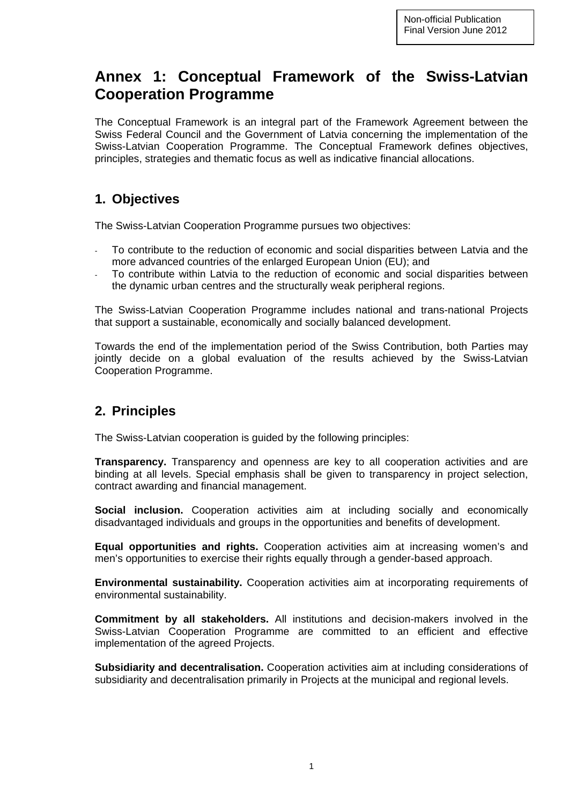# **Annex 1: Conceptual Framework of the Swiss-Latvian Cooperation Programme**

The Conceptual Framework is an integral part of the Framework Agreement between the Swiss Federal Council and the Government of Latvia concerning the implementation of the Swiss-Latvian Cooperation Programme. The Conceptual Framework defines objectives, principles, strategies and thematic focus as well as indicative financial allocations.

#### **1. Objectives**

The Swiss-Latvian Cooperation Programme pursues two objectives:

- To contribute to the reduction of economic and social disparities between Latvia and the more advanced countries of the enlarged European Union (EU); and
- To contribute within Latvia to the reduction of economic and social disparities between the dynamic urban centres and the structurally weak peripheral regions.

The Swiss-Latvian Cooperation Programme includes national and trans-national Projects that support a sustainable, economically and socially balanced development.

Towards the end of the implementation period of the Swiss Contribution, both Parties may jointly decide on a global evaluation of the results achieved by the Swiss-Latvian Cooperation Programme.

## **2. Principles**

The Swiss-Latvian cooperation is guided by the following principles:

**Transparency.** Transparency and openness are key to all cooperation activities and are binding at all levels. Special emphasis shall be given to transparency in project selection, contract awarding and financial management.

**Social inclusion.** Cooperation activities aim at including socially and economically disadvantaged individuals and groups in the opportunities and benefits of development.

**Equal opportunities and rights.** Cooperation activities aim at increasing women's and men's opportunities to exercise their rights equally through a gender-based approach.

**Environmental sustainability.** Cooperation activities aim at incorporating requirements of environmental sustainability.

**Commitment by all stakeholders.** All institutions and decision-makers involved in the Swiss-Latvian Cooperation Programme are committed to an efficient and effective implementation of the agreed Projects.

**Subsidiarity and decentralisation.** Cooperation activities aim at including considerations of subsidiarity and decentralisation primarily in Projects at the municipal and regional levels.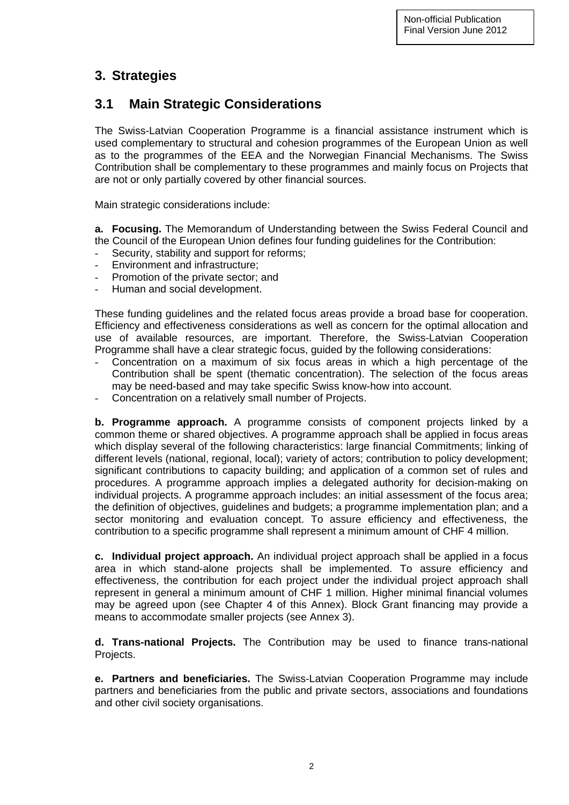# **3. Strategies**

# **3.1 Main Strategic Considerations**

The Swiss-Latvian Cooperation Programme is a financial assistance instrument which is used complementary to structural and cohesion programmes of the European Union as well as to the programmes of the EEA and the Norwegian Financial Mechanisms. The Swiss Contribution shall be complementary to these programmes and mainly focus on Projects that are not or only partially covered by other financial sources.

Main strategic considerations include:

**a. Focusing.** The Memorandum of Understanding between the Swiss Federal Council and the Council of the European Union defines four funding guidelines for the Contribution:

- Security, stability and support for reforms;
- Environment and infrastructure;
- Promotion of the private sector; and
- Human and social development.

These funding guidelines and the related focus areas provide a broad base for cooperation. Efficiency and effectiveness considerations as well as concern for the optimal allocation and use of available resources, are important. Therefore, the Swiss-Latvian Cooperation Programme shall have a clear strategic focus, guided by the following considerations:

- Concentration on a maximum of six focus areas in which a high percentage of the Contribution shall be spent (thematic concentration). The selection of the focus areas may be need-based and may take specific Swiss know-how into account.
- Concentration on a relatively small number of Projects.

**b. Programme approach.** A programme consists of component projects linked by a common theme or shared objectives. A programme approach shall be applied in focus areas which display several of the following characteristics: large financial Commitments; linking of different levels (national, regional, local); variety of actors; contribution to policy development; significant contributions to capacity building; and application of a common set of rules and procedures. A programme approach implies a delegated authority for decision-making on individual projects. A programme approach includes: an initial assessment of the focus area; the definition of objectives, guidelines and budgets; a programme implementation plan; and a sector monitoring and evaluation concept. To assure efficiency and effectiveness, the contribution to a specific programme shall represent a minimum amount of CHF 4 million.

**c. Individual project approach.** An individual project approach shall be applied in a focus area in which stand-alone projects shall be implemented. To assure efficiency and effectiveness, the contribution for each project under the individual project approach shall represent in general a minimum amount of CHF 1 million. Higher minimal financial volumes may be agreed upon (see Chapter 4 of this Annex). Block Grant financing may provide a means to accommodate smaller projects (see Annex 3).

**d. Trans-national Projects.** The Contribution may be used to finance trans-national Projects.

**e. Partners and beneficiaries.** The Swiss-Latvian Cooperation Programme may include partners and beneficiaries from the public and private sectors, associations and foundations and other civil society organisations.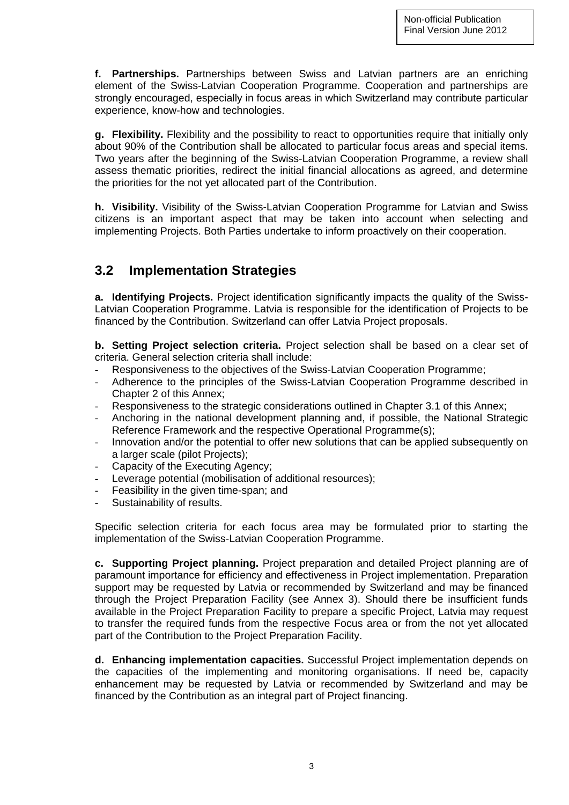**f. Partnerships.** Partnerships between Swiss and Latvian partners are an enriching element of the Swiss-Latvian Cooperation Programme. Cooperation and partnerships are strongly encouraged, especially in focus areas in which Switzerland may contribute particular experience, know-how and technologies.

**g. Flexibility.** Flexibility and the possibility to react to opportunities require that initially only about 90% of the Contribution shall be allocated to particular focus areas and special items. Two years after the beginning of the Swiss-Latvian Cooperation Programme, a review shall assess thematic priorities, redirect the initial financial allocations as agreed, and determine the priorities for the not yet allocated part of the Contribution.

**h. Visibility.** Visibility of the Swiss-Latvian Cooperation Programme for Latvian and Swiss citizens is an important aspect that may be taken into account when selecting and implementing Projects. Both Parties undertake to inform proactively on their cooperation.

## **3.2 Implementation Strategies**

**a. Identifying Projects.** Project identification significantly impacts the quality of the Swiss-Latvian Cooperation Programme. Latvia is responsible for the identification of Projects to be financed by the Contribution. Switzerland can offer Latvia Project proposals.

**b. Setting Project selection criteria.** Project selection shall be based on a clear set of criteria. General selection criteria shall include:

- Responsiveness to the objectives of the Swiss-Latvian Cooperation Programme;
- Adherence to the principles of the Swiss-Latvian Cooperation Programme described in Chapter 2 of this Annex;
- Responsiveness to the strategic considerations outlined in Chapter 3.1 of this Annex;
- Anchoring in the national development planning and, if possible, the National Strategic Reference Framework and the respective Operational Programme(s);
- Innovation and/or the potential to offer new solutions that can be applied subsequently on a larger scale (pilot Projects);
- Capacity of the Executing Agency:
- Leverage potential (mobilisation of additional resources);
- Feasibility in the given time-span; and
- Sustainability of results.

Specific selection criteria for each focus area may be formulated prior to starting the implementation of the Swiss-Latvian Cooperation Programme.

**c. Supporting Project planning.** Project preparation and detailed Project planning are of paramount importance for efficiency and effectiveness in Project implementation. Preparation support may be requested by Latvia or recommended by Switzerland and may be financed through the Project Preparation Facility (see Annex 3). Should there be insufficient funds available in the Project Preparation Facility to prepare a specific Project, Latvia may request to transfer the required funds from the respective Focus area or from the not yet allocated part of the Contribution to the Project Preparation Facility.

**d. Enhancing implementation capacities.** Successful Project implementation depends on the capacities of the implementing and monitoring organisations. If need be, capacity enhancement may be requested by Latvia or recommended by Switzerland and may be financed by the Contribution as an integral part of Project financing.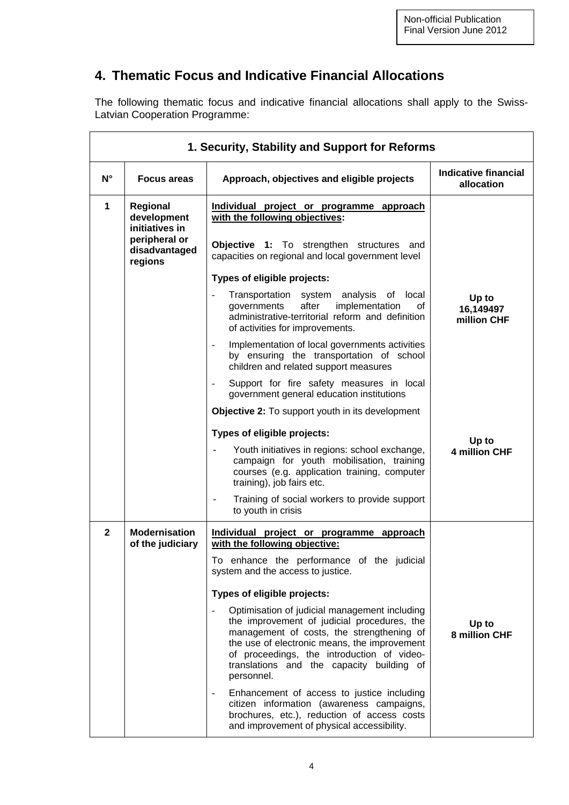# **4. Thematic Focus and Indicative Financial Allocations**

The following thematic focus and indicative financial allocations shall apply to the Swiss-Latvian Cooperation Programme:

| 1. Security, Stability and Support for Reforms |                                                                                    |                                                                                                                                                                                                                                                                                                                                |                                    |
|------------------------------------------------|------------------------------------------------------------------------------------|--------------------------------------------------------------------------------------------------------------------------------------------------------------------------------------------------------------------------------------------------------------------------------------------------------------------------------|------------------------------------|
| $N^{\circ}$                                    | <b>Focus areas</b>                                                                 | Approach, objectives and eligible projects                                                                                                                                                                                                                                                                                     | Indicative financial<br>allocation |
| $\mathbf{1}$                                   | <b>Regional</b><br>development<br>initiatives in<br>peripheral or<br>disadvantaged | Individual project or programme approach<br>with the following objectives:<br>Objective 1: To strengthen structures and<br>capacities on regional and local government level                                                                                                                                                   |                                    |
|                                                | regions                                                                            | Types of eligible projects:                                                                                                                                                                                                                                                                                                    |                                    |
|                                                |                                                                                    | Transportation system analysis of local<br>÷,<br>after<br>implementation<br>governments<br>0f<br>administrative-territorial reform and definition<br>of activities for improvements.                                                                                                                                           | Up to<br>16,149497<br>million CHF  |
|                                                |                                                                                    | Implementation of local governments activities<br>by ensuring the transportation of school<br>children and related support measures                                                                                                                                                                                            |                                    |
|                                                |                                                                                    | Support for fire safety measures in local<br>government general education institutions                                                                                                                                                                                                                                         |                                    |
|                                                |                                                                                    | <b>Objective 2:</b> To support youth in its development                                                                                                                                                                                                                                                                        |                                    |
|                                                |                                                                                    | Types of eligible projects:                                                                                                                                                                                                                                                                                                    | Up to                              |
|                                                |                                                                                    | Youth initiatives in regions: school exchange,<br>campaign for youth mobilisation, training<br>courses (e.g. application training, computer<br>training), job fairs etc.                                                                                                                                                       | <b>4 million CHF</b>               |
|                                                |                                                                                    | Training of social workers to provide support<br>to youth in crisis                                                                                                                                                                                                                                                            |                                    |
| $\overline{2}$                                 | <b>Modernisation</b><br>of the judiciary                                           | Individual project or programme approach<br>with the following objective:                                                                                                                                                                                                                                                      |                                    |
|                                                |                                                                                    | To enhance the performance of the judicial<br>system and the access to justice.                                                                                                                                                                                                                                                |                                    |
|                                                |                                                                                    | Types of eligible projects:                                                                                                                                                                                                                                                                                                    |                                    |
|                                                |                                                                                    | Optimisation of judicial management including<br>$\overline{\phantom{a}}$<br>the improvement of judicial procedures, the<br>management of costs, the strengthening of<br>the use of electronic means, the improvement<br>of proceedings, the introduction of video-<br>translations and the capacity building of<br>personnel. | Up to<br>8 million CHF             |
|                                                |                                                                                    | Enhancement of access to justice including<br>citizen information (awareness campaigns,<br>brochures, etc.), reduction of access costs<br>and improvement of physical accessibility.                                                                                                                                           |                                    |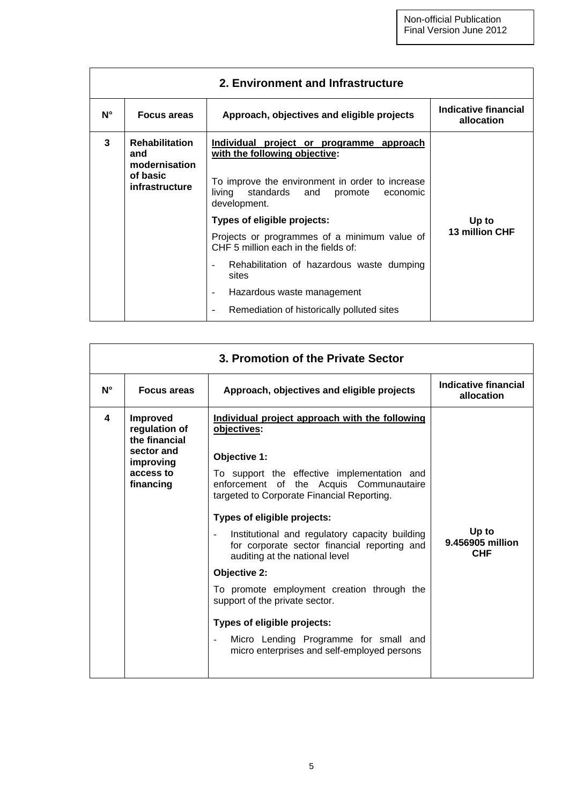| 2. Environment and Infrastructure |                                                                             |                                                                                                                                                                                                   |                                    |
|-----------------------------------|-----------------------------------------------------------------------------|---------------------------------------------------------------------------------------------------------------------------------------------------------------------------------------------------|------------------------------------|
| $N^{\circ}$                       | <b>Focus areas</b>                                                          | Approach, objectives and eligible projects                                                                                                                                                        | Indicative financial<br>allocation |
| 3                                 | <b>Rehabilitation</b><br>and<br>modernisation<br>of basic<br>infrastructure | Individual project or programme approach<br>with the following objective:<br>To improve the environment in order to increase<br>living<br>standards<br>and<br>promote<br>economic<br>development. |                                    |
|                                   |                                                                             | Types of eligible projects:                                                                                                                                                                       | Up to                              |
|                                   |                                                                             | Projects or programmes of a minimum value of<br>CHF 5 million each in the fields of:                                                                                                              | 13 million CHF                     |
|                                   |                                                                             | Rehabilitation of hazardous waste dumping<br>sites                                                                                                                                                |                                    |
|                                   |                                                                             | Hazardous waste management                                                                                                                                                                        |                                    |
|                                   |                                                                             | Remediation of historically polluted sites                                                                                                                                                        |                                    |

| 3. Promotion of the Private Sector |                                                                                                        |                                                                                                                                                                                                                                                                                                                                                                                                                                                                                                                                                                                                                                         |                                         |
|------------------------------------|--------------------------------------------------------------------------------------------------------|-----------------------------------------------------------------------------------------------------------------------------------------------------------------------------------------------------------------------------------------------------------------------------------------------------------------------------------------------------------------------------------------------------------------------------------------------------------------------------------------------------------------------------------------------------------------------------------------------------------------------------------------|-----------------------------------------|
| $N^{\circ}$                        | <b>Focus areas</b>                                                                                     | Approach, objectives and eligible projects                                                                                                                                                                                                                                                                                                                                                                                                                                                                                                                                                                                              | Indicative financial<br>allocation      |
| 4                                  | <b>Improved</b><br>regulation of<br>the financial<br>sector and<br>improving<br>access to<br>financing | Individual project approach with the following<br>objectives:<br>Objective 1:<br>To support the effective implementation and<br>enforcement of the Acquis Communautaire<br>targeted to Corporate Financial Reporting.<br>Types of eligible projects:<br>Institutional and regulatory capacity building<br>for corporate sector financial reporting and<br>auditing at the national level<br><b>Objective 2:</b><br>To promote employment creation through the<br>support of the private sector.<br>Types of eligible projects:<br>Micro Lending Programme for small and<br>$\frac{1}{2}$<br>micro enterprises and self-employed persons | Up to<br>9.456905 million<br><b>CHF</b> |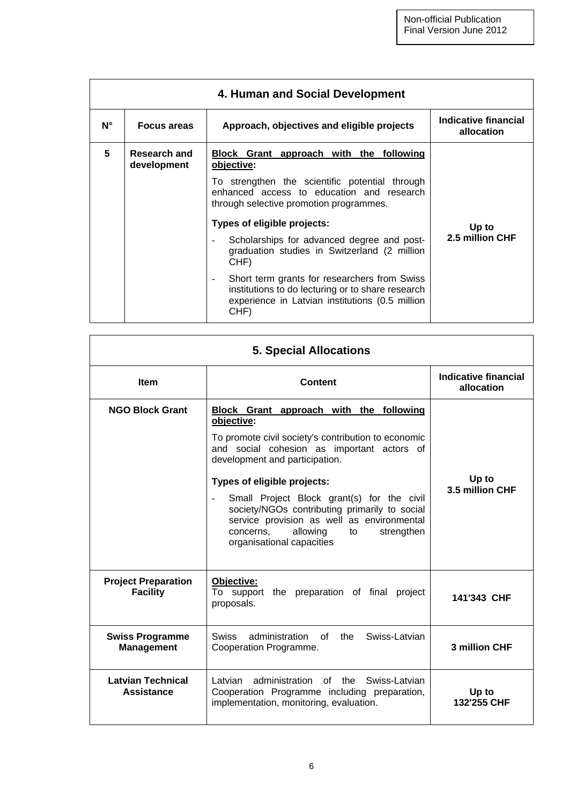| 4. Human and Social Development |                                    |                                                                                                                                                              |                                    |
|---------------------------------|------------------------------------|--------------------------------------------------------------------------------------------------------------------------------------------------------------|------------------------------------|
| $N^{\circ}$                     | <b>Focus areas</b>                 | Approach, objectives and eligible projects                                                                                                                   | Indicative financial<br>allocation |
| 5                               | <b>Research and</b><br>development | Block Grant approach with the following<br>objective:                                                                                                        | Up to                              |
|                                 |                                    | To strengthen the scientific potential through<br>enhanced access to education and research<br>through selective promotion programmes.                       |                                    |
|                                 |                                    | Types of eligible projects:                                                                                                                                  |                                    |
|                                 |                                    | Scholarships for advanced degree and post-<br>graduation studies in Switzerland (2 million<br>CHF)                                                           | 2.5 million CHF                    |
|                                 |                                    | Short term grants for researchers from Swiss<br>institutions to do lecturing or to share research<br>experience in Latvian institutions (0.5 million<br>CHF) |                                    |

| <b>5. Special Allocations</b>                 |                                                                                                                                                                                                                                                                                                                                                                                                                                                                                |                                    |
|-----------------------------------------------|--------------------------------------------------------------------------------------------------------------------------------------------------------------------------------------------------------------------------------------------------------------------------------------------------------------------------------------------------------------------------------------------------------------------------------------------------------------------------------|------------------------------------|
| <b>Item</b>                                   | <b>Content</b>                                                                                                                                                                                                                                                                                                                                                                                                                                                                 | Indicative financial<br>allocation |
| <b>NGO Block Grant</b>                        | Block Grant approach with the following<br>objective:<br>To promote civil society's contribution to economic<br>and social cohesion as important actors of<br>development and participation.<br>Types of eligible projects:<br>Small Project Block grant(s) for the civil<br>$\overline{\phantom{a}}$<br>society/NGOs contributing primarily to social<br>service provision as well as environmental<br>allowing<br>strengthen<br>concerns,<br>to<br>organisational capacities | Up to<br>3.5 million CHF           |
| <b>Project Preparation</b><br><b>Facility</b> | Objective:<br>To support the preparation of final<br>project<br>proposals.                                                                                                                                                                                                                                                                                                                                                                                                     | 141'343 CHF                        |
| <b>Swiss Programme</b><br><b>Management</b>   | Swiss-Latvian<br>administration<br>of<br>the<br><b>Swiss</b><br>Cooperation Programme.                                                                                                                                                                                                                                                                                                                                                                                         | 3 million CHF                      |
| <b>Latvian Technical</b><br><b>Assistance</b> | administration of the Swiss-Latvian<br>Latvian<br>Cooperation Programme including preparation,<br>implementation, monitoring, evaluation.                                                                                                                                                                                                                                                                                                                                      | Up to<br>132'255 CHF               |